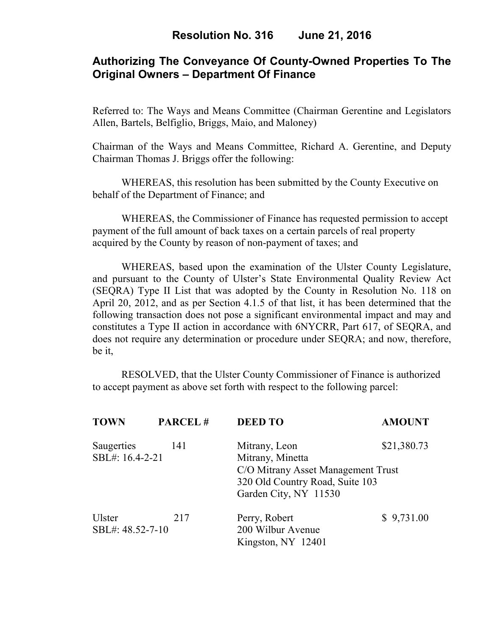# **Authorizing The Conveyance Of County-Owned Properties To The Original Owners – Department Of Finance**

Referred to: The Ways and Means Committee (Chairman Gerentine and Legislators Allen, Bartels, Belfiglio, Briggs, Maio, and Maloney)

Chairman of the Ways and Means Committee, Richard A. Gerentine, and Deputy Chairman Thomas J. Briggs offer the following:

WHEREAS, this resolution has been submitted by the County Executive on behalf of the Department of Finance; and

 WHEREAS, the Commissioner of Finance has requested permission to accept payment of the full amount of back taxes on a certain parcels of real property acquired by the County by reason of non-payment of taxes; and

WHEREAS, based upon the examination of the Ulster County Legislature, and pursuant to the County of Ulster's State Environmental Quality Review Act (SEQRA) Type II List that was adopted by the County in Resolution No. 118 on April 20, 2012, and as per Section 4.1.5 of that list, it has been determined that the following transaction does not pose a significant environmental impact and may and constitutes a Type II action in accordance with 6NYCRR, Part 617, of SEQRA, and does not require any determination or procedure under SEQRA; and now, therefore, be it,

 RESOLVED, that the Ulster County Commissioner of Finance is authorized to accept payment as above set forth with respect to the following parcel:

| <b>TOWN</b>                   | <b>PARCEL#</b> | <b>DEED TO</b>                                                        | <b>AMOUNT</b> |  |
|-------------------------------|----------------|-----------------------------------------------------------------------|---------------|--|
| Saugerties<br>SBL#: 16.4-2-21 | 141            | Mitrany, Leon<br>Mitrany, Minetta                                     | \$21,380.73   |  |
|                               |                | C/O Mitrany Asset Management Trust<br>320 Old Country Road, Suite 103 |               |  |
| <b>Ulster</b>                 | 217            | Garden City, NY 11530<br>Perry, Robert                                | \$9,731.00    |  |
| SBL#: 48.52-7-10              |                | 200 Wilbur Avenue<br>Kingston, NY 12401                               |               |  |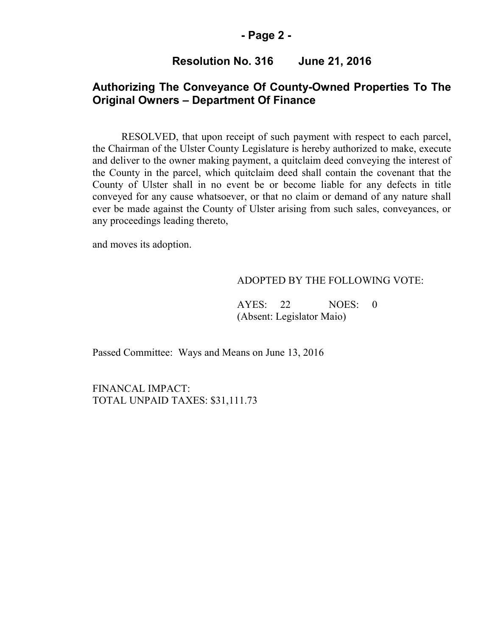### **- Page 2 -**

## **Resolution No. 316 June 21, 2016**

## **Authorizing The Conveyance Of County-Owned Properties To The Original Owners – Department Of Finance**

RESOLVED, that upon receipt of such payment with respect to each parcel, the Chairman of the Ulster County Legislature is hereby authorized to make, execute and deliver to the owner making payment, a quitclaim deed conveying the interest of the County in the parcel, which quitclaim deed shall contain the covenant that the County of Ulster shall in no event be or become liable for any defects in title conveyed for any cause whatsoever, or that no claim or demand of any nature shall ever be made against the County of Ulster arising from such sales, conveyances, or any proceedings leading thereto,

and moves its adoption.

#### ADOPTED BY THE FOLLOWING VOTE:

AYES: 22 NOES: 0 (Absent: Legislator Maio)

Passed Committee: Ways and Means on June 13, 2016

FINANCAL IMPACT: TOTAL UNPAID TAXES: \$31,111.73